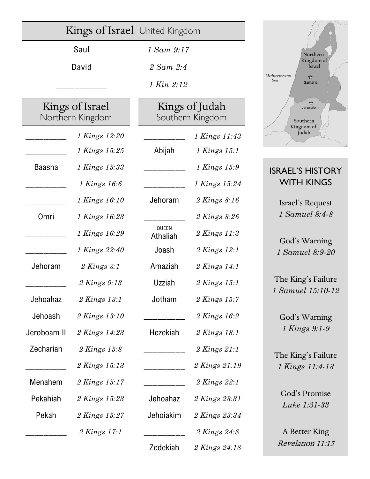|                                     | Kings of Israel United Kingdom |                                    |                  |
|-------------------------------------|--------------------------------|------------------------------------|------------------|
| Saul                                |                                | 1 Sam 9:17                         |                  |
| David                               |                                | 2 Sam 2:4                          |                  |
|                                     |                                | 1 Kin 2:12                         |                  |
| Kings of Israel<br>Northern Kingdom |                                | Kings of Judah<br>Southern Kingdom |                  |
|                                     | 1 Kings 12:20                  |                                    | 1 Kings 11:43    |
|                                     | 1 Kings 15:25                  | Abijah                             | 1 Kings 15:1     |
| <b>Baasha</b>                       | 1 Kings 15:33                  |                                    | 1 Kings 15:9     |
|                                     | 1 Kings 16:6                   |                                    | 1 Kings 15:24    |
|                                     | 1 Kings 16:10                  | Jehoram                            | 2 Kings 8:16     |
| Omri                                | 1 Kings 16:23                  |                                    | 2 Kings 8:26     |
|                                     | 1 Kings 16:29                  | QUEEN<br>Athaliah                  | 2 Kings 11:3     |
|                                     | 1 Kings 22:40                  | Joash                              | 2 Kings 12:1     |
| Jehoram                             | $2$ Kings $3:1$                | Amaziah                            | 2 Kings 14:1     |
|                                     | 2 Kings 9:13                   | Uzziah                             | $2$ Kings 15:1   |
| Jehoahaz                            | 2 Kings 13:1                   | Jotham                             | 2 Kings 15:7     |
| Jehoash                             | 2 Kings 13:10                  |                                    | 2 Kings 16:2     |
| Jeroboam II                         | 2 Kings 14:23                  | Hezekiah                           | 2 Kings 18:1     |
| Zechariah                           | 2 Kings 15:8                   |                                    | $2$ Kings $21:1$ |
|                                     | 2 Kings 15:13                  |                                    | 2 Kings 21:19    |
| Menahem                             | 2 Kings 15:17                  |                                    | 2 Kings 22:1     |
| Pekahiah                            | 2 Kings 15:23                  | Jehoahaz                           | 2 Kings 23:31    |
| Pekah                               | 2 Kings 15:27                  | Jehoiakim                          | 2 Kings 23:34    |
|                                     | 2 Kings 17:1                   |                                    | 2 Kings 24:8     |
|                                     |                                | Zedekiah                           | 2 Kings 24:18    |



## ISRAEL'S HISTORY WITH KINGS

Israel's Request *1 Samuel 8:4-8*

God's Warning *1 Samuel 8:9-20*

The King's Failure *1 Samuel 15:10-12*

God's Warning *1 Kings 9:1-9*

The King's Failure *1 Kings 11:4-13*

> God's Promise *Luke 1:31-33*

A Better King Revelation 11:15